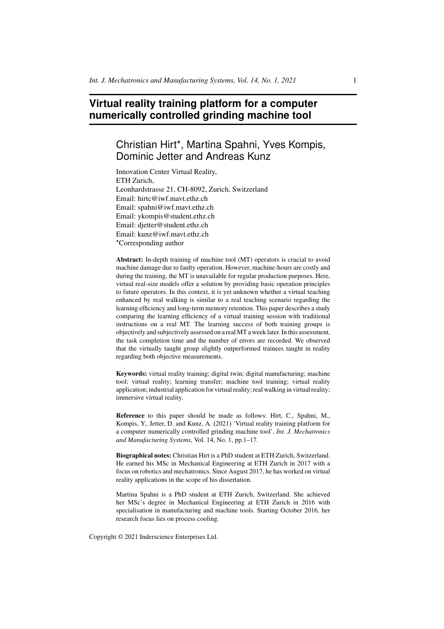# **Virtual reality training platform for a computer numerically controlled grinding machine tool**

# Christian Hirt\*, Martina Spahni, Yves Kompis, Dominic Jetter and Andreas Kunz

Innovation Center Virtual Reality, ETH Zurich, Leonhardstrasse 21, CH-8092, Zurich, Switzerland Email: hirtc@iwf.mavt.ethz.ch Email: spahni@iwf.mavt.ethz.ch Email: ykompis@student.ethz.ch Email: djetter@student.ethz.ch Email: kunz@iwf.mavt.ethz.ch \*Corresponding author

Abstract: In-depth training of machine tool (MT) operators is crucial to avoid machine damage due to faulty operation. However, machine-hours are costly and during the training, the MT is unavailable for regular production purposes. Here, virtual real-size models offer a solution by providing basic operation principles to future operators. In this context, it is yet unknown whether a virtual teaching enhanced by real walking is similar to a real teaching scenario regarding the learning efficiency and long-term memory retention. This paper describes a study comparing the learning efficiency of a virtual training session with traditional instructions on a real MT. The learning success of both training groups is objectively and subjectively assessed on a real MT a week later. In this assessment, the task completion time and the number of errors are recorded. We observed that the virtually taught group slightly outperformed trainees taught in reality regarding both objective measurements.

Keywords: virtual reality training; digital twin; digital manufacturing; machine tool; virtual reality; learning transfer; machine tool training; virtual reality application; industrial application for virtual reality; real walking in virtual reality; immersive virtual reality.

Reference to this paper should be made as follows: Hirt, C., Spahni, M., Kompis, Y., Jetter, D. and Kunz, A. (2021) 'Virtual reality training platform for a computer numerically controlled grinding machine tool', *Int. J. Mechatronics and Manufacturing Systems*, Vol. 14, No. 1, pp.1–17.

Biographical notes: Christian Hirt is a PhD student at ETH Zurich, Switzerland. He earned his MSc in Mechanical Engineering at ETH Zurich in 2017 with a focus on robotics and mechatronics. Since August 2017, he has worked on virtual reality applications in the scope of his dissertation.

Martina Spahni is a PhD student at ETH Zurich, Switzerland. She achieved her MSc's degree in Mechanical Engineering at ETH Zurich in 2016 with specialisation in manufacturing and machine tools. Starting October 2016, her research focus lies on process cooling.

Copyright © 2021 Inderscience Enterprises Ltd.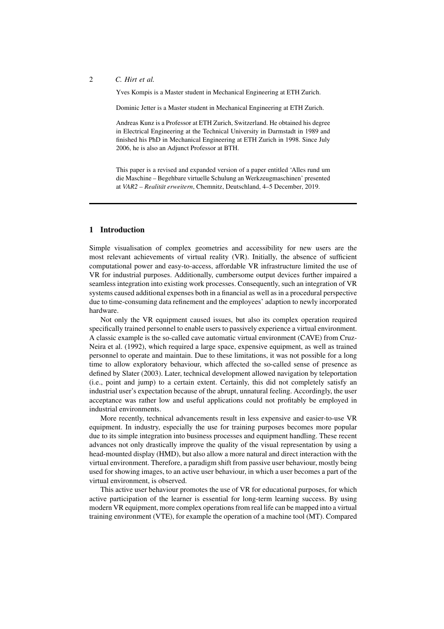Yves Kompis is a Master student in Mechanical Engineering at ETH Zurich.

Dominic Jetter is a Master student in Mechanical Engineering at ETH Zurich.

Andreas Kunz is a Professor at ETH Zurich, Switzerland. He obtained his degree in Electrical Engineering at the Technical University in Darmstadt in 1989 and finished his PhD in Mechanical Engineering at ETH Zurich in 1998. Since July 2006, he is also an Adjunct Professor at BTH.

This paper is a revised and expanded version of a paper entitled 'Alles rund um die Maschine – Begehbare virtuelle Schulung an Werkzeugmaschinen' presented at *VAR2 – Realität erweitern*, Chemnitz, Deutschland, 4–5 December, 2019.

#### 1 Introduction

Simple visualisation of complex geometries and accessibility for new users are the most relevant achievements of virtual reality (VR). Initially, the absence of sufficient computational power and easy-to-access, affordable VR infrastructure limited the use of VR for industrial purposes. Additionally, cumbersome output devices further impaired a seamless integration into existing work processes. Consequently, such an integration of VR systems caused additional expenses both in a financial as well as in a procedural perspective due to time-consuming data refinement and the employees' adaption to newly incorporated hardware.

Not only the VR equipment caused issues, but also its complex operation required specifically trained personnel to enable users to passively experience a virtual environment. A classic example is the so-called cave automatic virtual environment (CAVE) from Cruz-Neira et al. (1992), which required a large space, expensive equipment, as well as trained personnel to operate and maintain. Due to these limitations, it was not possible for a long time to allow exploratory behaviour, which affected the so-called sense of presence as defined by Slater (2003). Later, technical development allowed navigation by teleportation (i.e., point and jump) to a certain extent. Certainly, this did not completely satisfy an industrial user's expectation because of the abrupt, unnatural feeling. Accordingly, the user acceptance was rather low and useful applications could not profitably be employed in industrial environments.

More recently, technical advancements result in less expensive and easier-to-use VR equipment. In industry, especially the use for training purposes becomes more popular due to its simple integration into business processes and equipment handling. These recent advances not only drastically improve the quality of the visual representation by using a head-mounted display (HMD), but also allow a more natural and direct interaction with the virtual environment. Therefore, a paradigm shift from passive user behaviour, mostly being used for showing images, to an active user behaviour, in which a user becomes a part of the virtual environment, is observed.

This active user behaviour promotes the use of VR for educational purposes, for which active participation of the learner is essential for long-term learning success. By using modern VR equipment, more complex operations from real life can be mapped into a virtual training environment (VTE), for example the operation of a machine tool (MT). Compared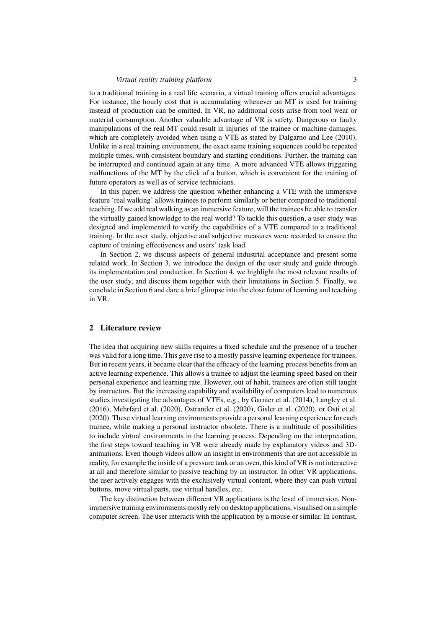#### *Virtual reality training platform* 3

to a traditional training in a real life scenario, a virtual training offers crucial advantages. For instance, the hourly cost that is accumulating whenever an MT is used for training instead of production can be omitted. In VR, no additional costs arise from tool wear or material consumption. Another valuable advantage of VR is safety. Dangerous or faulty manipulations of the real MT could result in injuries of the trainee or machine damages, which are completely avoided when using a VTE as stated by Dalgarno and Lee (2010). Unlike in a real training environment, the exact same training sequences could be repeated multiple times, with consistent boundary and starting conditions. Further, the training can be interrupted and continued again at any time. A more advanced VTE allows triggering malfunctions of the MT by the click of a button, which is convenient for the training of future operators as well as of service technicians.

In this paper, we address the question whether enhancing a VTE with the immersive feature 'real walking' allows trainees to perform similarly or better compared to traditional teaching. If we add real walking as an immersive feature, will the trainees be able to transfer the virtually gained knowledge to the real world? To tackle this question, a user study was designed and implemented to verify the capabilities of a VTE compared to a traditional training. In the user study, objective and subjective measures were recorded to ensure the capture of training effectiveness and users' task load.

In Section 2, we discuss aspects of general industrial acceptance and present some related work. In Section 3, we introduce the design of the user study and guide through its implementation and conduction. In Section 4, we highlight the most relevant results of the user study, and discuss them together with their limitations in Section 5. Finally, we conclude in Section 6 and dare a brief glimpse into the close future of learning and teaching in VR.

## 2 Literature review

The idea that acquiring new skills requires a fixed schedule and the presence of a teacher was valid for a long time. This gave rise to a mostly passive learning experience for trainees. But in recent years, it became clear that the efficacy of the learning process benefits from an active learning experience. This allows a trainee to adjust the learning speed based on their personal experience and learning rate. However, out of habit, trainees are often still taught by instructors. But the increasing capability and availability of computers lead to numerous studies investigating the advantages of VTEs, e.g., by Garnier et al. (2014), Langley et al. (2016), Mehrfard et al. (2020), Ostrander et al. (2020), Gisler et al. (2020), or Osti et al. (2020). These virtual learning environments provide a personal learning experience for each trainee, while making a personal instructor obsolete. There is a multitude of possibilities to include virtual environments in the learning process. Depending on the interpretation, the first steps toward teaching in VR were already made by explanatory videos and 3Danimations. Even though videos allow an insight in environments that are not accessible in reality, for example the inside of a pressure tank or an oven, this kind of VR is not interactive at all and therefore similar to passive teaching by an instructor. In other VR applications, the user actively engages with the exclusively virtual content, where they can push virtual buttons, move virtual parts, use virtual handles, etc.

The key distinction between different VR applications is the level of immersion. Nonimmersive training environments mostly rely on desktop applications, visualised on a simple computer screen. The user interacts with the application by a mouse or similar. In contrast,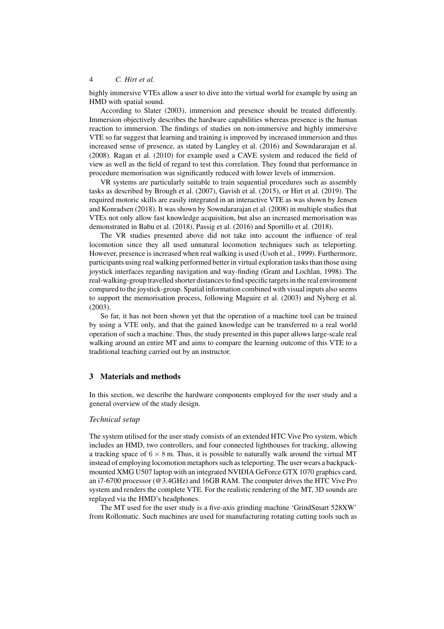highly immersive VTEs allow a user to dive into the virtual world for example by using an HMD with spatial sound.

According to Slater (2003), immersion and presence should be treated differently. Immersion objectively describes the hardware capabilities whereas presence is the human reaction to immersion. The findings of studies on non-immersive and highly immersive VTE so far suggest that learning and training is improved by increased immersion and thus increased sense of presence, as stated by Langley et al. (2016) and Sowndararajan et al. (2008). Ragan et al. (2010) for example used a CAVE system and reduced the field of view as well as the field of regard to test this correlation. They found that performance in procedure memorisation was significantly reduced with lower levels of immersion.

VR systems are particularly suitable to train sequential procedures such as assembly tasks as described by Brough et al. (2007), Gavish et al. (2015), or Hirt et al. (2019). The required motoric skills are easily integrated in an interactive VTE as was shown by Jensen and Konradsen (2018). It was shown by Sowndararajan et al. (2008) in multiple studies that VTEs not only allow fast knowledge acquisition, but also an increased memorisation was demonstrated in Babu et al. (2018), Passig et al. (2016) and Sportillo et al. (2018).

The VR studies presented above did not take into account the influence of real locomotion since they all used unnatural locomotion techniques such as teleporting. However, presence is increased when real walking is used (Usoh et al., 1999). Furthermore, participants using real walking performed better in virtual exploration tasks than those using joystick interfaces regarding navigation and way-finding (Grant and Lochlan, 1998). The real-walking-group travelled shorter distances to find specific targets in the real environment compared to the joystick-group. Spatial information combined with visual inputs also seems to support the memorisation process, following Maguire et al. (2003) and Nyberg et al. (2003).

So far, it has not been shown yet that the operation of a machine tool can be trained by using a VTE only, and that the gained knowledge can be transferred to a real world operation of such a machine. Thus, the study presented in this paper allows large-scale real walking around an entire MT and aims to compare the learning outcome of this VTE to a traditional teaching carried out by an instructor.

#### 3 Materials and methods

In this section, we describe the hardware components employed for the user study and a general overview of the study design.

## *Technical setup*

The system utilised for the user study consists of an extended HTC Vive Pro system, which includes an HMD, two controllers, and four connected lighthouses for tracking, allowing a tracking space of  $6 \times 8$  m. Thus, it is possible to naturally walk around the virtual MT instead of employing locomotion metaphors such as teleporting. The user wears a backpackmounted XMG U507 laptop with an integrated NVIDIA GeForce GTX 1070 graphics card, an i7-6700 processor (@3.4GHz) and 16GB RAM. The computer drives the HTC Vive Pro system and renders the complete VTE. For the realistic rendering of the MT, 3D sounds are replayed via the HMD's headphones.

The MT used for the user study is a five-axis grinding machine 'GrindSmart 528XW' from Rollomatic. Such machines are used for manufacturing rotating cutting tools such as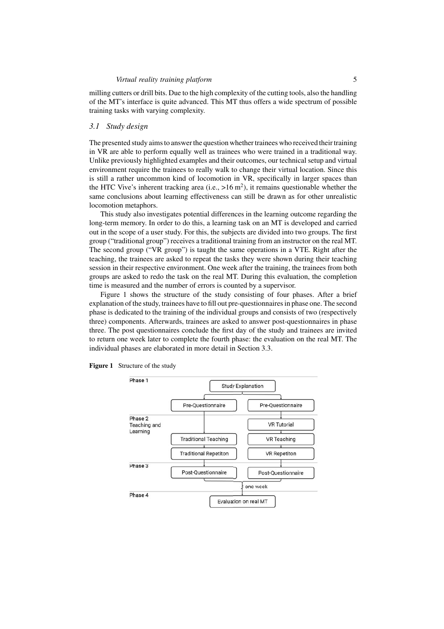milling cutters or drill bits. Due to the high complexity of the cutting tools, also the handling of the MT's interface is quite advanced. This MT thus offers a wide spectrum of possible training tasks with varying complexity.

### *3.1 Study design*

The presented study aims to answer the question whether trainees who received their training in VR are able to perform equally well as trainees who were trained in a traditional way. Unlike previously highlighted examples and their outcomes, our technical setup and virtual environment require the trainees to really walk to change their virtual location. Since this is still a rather uncommon kind of locomotion in VR, specifically in larger spaces than the HTC Vive's inherent tracking area (i.e.,  $>16 \text{ m}^2$ ), it remains questionable whether the same conclusions about learning effectiveness can still be drawn as for other unrealistic locomotion metaphors.

This study also investigates potential differences in the learning outcome regarding the long-term memory. In order to do this, a learning task on an MT is developed and carried out in the scope of a user study. For this, the subjects are divided into two groups. The first group ("traditional group") receives a traditional training from an instructor on the real MT. The second group ("VR group") is taught the same operations in a VTE. Right after the teaching, the trainees are asked to repeat the tasks they were shown during their teaching session in their respective environment. One week after the training, the trainees from both groups are asked to redo the task on the real MT. During this evaluation, the completion time is measured and the number of errors is counted by a supervisor.

Figure 1 shows the structure of the study consisting of four phases. After a brief explanation of the study, trainees have to fill out pre-questionnaires in phase one. The second phase is dedicated to the training of the individual groups and consists of two (respectively three) components. Afterwards, trainees are asked to answer post-questionnaires in phase three. The post questionnaires conclude the first day of the study and trainees are invited to return one week later to complete the fourth phase: the evaluation on the real MT. The individual phases are elaborated in more detail in Section 3.3.



Figure 1 Structure of the study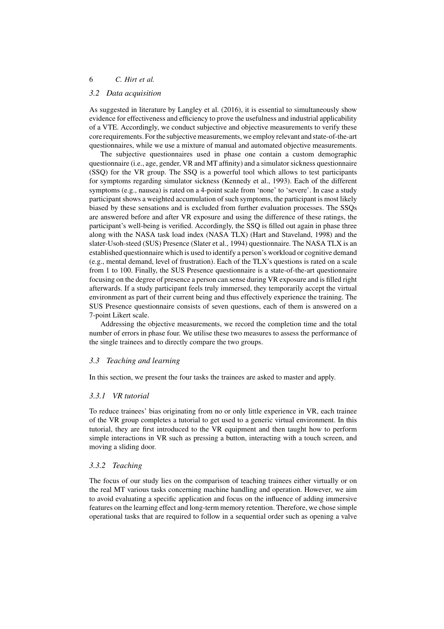# *3.2 Data acquisition*

As suggested in literature by Langley et al. (2016), it is essential to simultaneously show evidence for effectiveness and efficiency to prove the usefulness and industrial applicability of a VTE. Accordingly, we conduct subjective and objective measurements to verify these core requirements. For the subjective measurements, we employ relevant and state-of-the-art questionnaires, while we use a mixture of manual and automated objective measurements.

The subjective questionnaires used in phase one contain a custom demographic questionnaire (i.e., age, gender, VR and MT affinity) and a simulator sickness questionnaire (SSQ) for the VR group. The SSQ is a powerful tool which allows to test participants for symptoms regarding simulator sickness (Kennedy et al., 1993). Each of the different symptoms (e.g., nausea) is rated on a 4-point scale from 'none' to 'severe'. In case a study participant shows a weighted accumulation of such symptoms, the participant is most likely biased by these sensations and is excluded from further evaluation processes. The SSQs are answered before and after VR exposure and using the difference of these ratings, the participant's well-being is verified. Accordingly, the SSQ is filled out again in phase three along with the NASA task load index (NASA TLX) (Hart and Staveland, 1998) and the slater-Usoh-steed (SUS) Presence (Slater et al., 1994) questionnaire. The NASA TLX is an established questionnaire which is used to identify a person's workload or cognitive demand (e.g., mental demand, level of frustration). Each of the TLX's questions is rated on a scale from 1 to 100. Finally, the SUS Presence questionnaire is a state-of-the-art questionnaire focusing on the degree of presence a person can sense during VR exposure and is filled right afterwards. If a study participant feels truly immersed, they temporarily accept the virtual environment as part of their current being and thus effectively experience the training. The SUS Presence questionnaire consists of seven questions, each of them is answered on a 7-point Likert scale.

Addressing the objective measurements, we record the completion time and the total number of errors in phase four. We utilise these two measures to assess the performance of the single trainees and to directly compare the two groups.

#### *3.3 Teaching and learning*

In this section, we present the four tasks the trainees are asked to master and apply.

#### *3.3.1 VR tutorial*

To reduce trainees' bias originating from no or only little experience in VR, each trainee of the VR group completes a tutorial to get used to a generic virtual environment. In this tutorial, they are first introduced to the VR equipment and then taught how to perform simple interactions in VR such as pressing a button, interacting with a touch screen, and moving a sliding door.

#### *3.3.2 Teaching*

The focus of our study lies on the comparison of teaching trainees either virtually or on the real MT various tasks concerning machine handling and operation. However, we aim to avoid evaluating a specific application and focus on the influence of adding immersive features on the learning effect and long-term memory retention. Therefore, we chose simple operational tasks that are required to follow in a sequential order such as opening a valve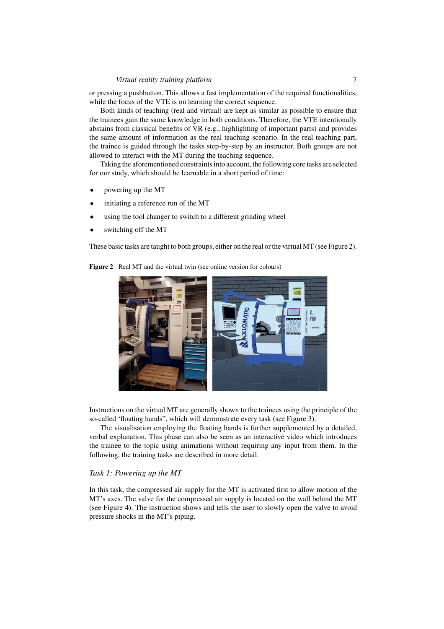# *Virtual reality training platform* 7

or pressing a pushbutton. This allows a fast implementation of the required functionalities, while the focus of the VTE is on learning the correct sequence.

Both kinds of teaching (real and virtual) are kept as similar as possible to ensure that the trainees gain the same knowledge in both conditions. Therefore, the VTE intentionally abstains from classical benefits of VR (e.g., highlighting of important parts) and provides the same amount of information as the real teaching scenario. In the real teaching part, the trainee is guided through the tasks step-by-step by an instructor. Both groups are not allowed to interact with the MT during the teaching sequence.

Taking the aforementioned constraints into account, the following core tasks are selected for our study, which should be learnable in a short period of time:

- powering up the MT
- initiating a reference run of the MT
- using the tool changer to switch to a different grinding wheel
- switching off the MT

These basic tasks are taught to both groups, either on the real or the virtual MT (see Figure 2).

Figure 2 Real MT and the virtual twin (see online version for colours)



Instructions on the virtual MT are generally shown to the trainees using the principle of the so-called 'floating hands", which will demonstrate every task (see Figure 3).

The visualisation employing the floating hands is further supplemented by a detailed, verbal explanation. This phase can also be seen as an interactive video which introduces the trainee to the topic using animations without requiring any input from them. In the following, the training tasks are described in more detail.

## *Task 1: Powering up the MT*

In this task, the compressed air supply for the MT is activated first to allow motion of the MT's axes. The valve for the compressed air supply is located on the wall behind the MT (see Figure 4). The instruction shows and tells the user to slowly open the valve to avoid pressure shocks in the MT's piping.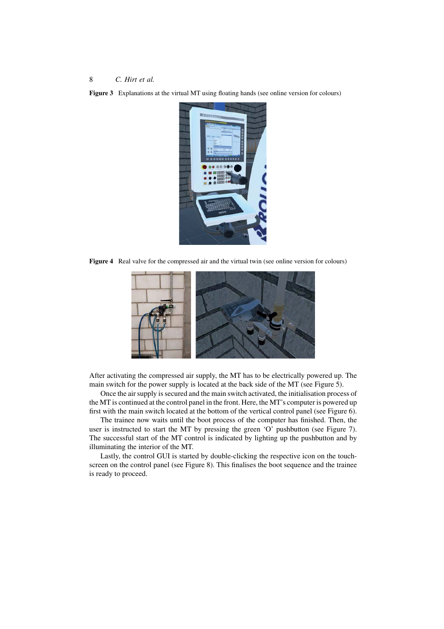Figure 3 Explanations at the virtual MT using floating hands (see online version for colours)



Figure 4 Real valve for the compressed air and the virtual twin (see online version for colours)



After activating the compressed air supply, the MT has to be electrically powered up. The main switch for the power supply is located at the back side of the MT (see Figure 5).

Once the air supply is secured and the main switch activated, the initialisation process of the MT is continued at the control panel in the front. Here, the MT's computer is powered up first with the main switch located at the bottom of the vertical control panel (see Figure 6).

The trainee now waits until the boot process of the computer has finished. Then, the user is instructed to start the MT by pressing the green 'O' pushbutton (see Figure 7). The successful start of the MT control is indicated by lighting up the pushbutton and by illuminating the interior of the MT.

Lastly, the control GUI is started by double-clicking the respective icon on the touchscreen on the control panel (see Figure 8). This finalises the boot sequence and the trainee is ready to proceed.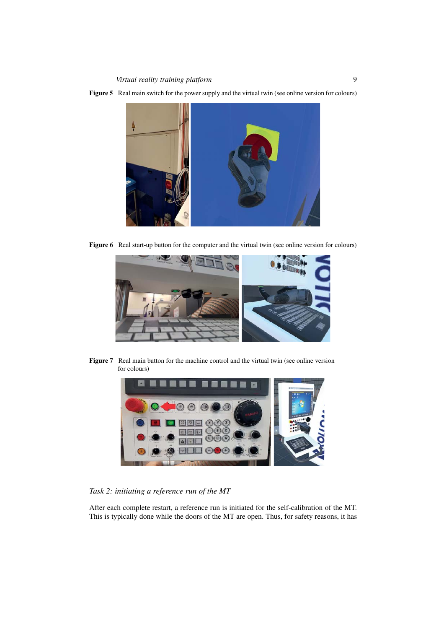

Figure 5 Real main switch for the power supply and the virtual twin (see online version for colours)

Figure 6 Real start-up button for the computer and the virtual twin (see online version for colours)



Figure 7 Real main button for the machine control and the virtual twin (see online version for colours)



*Task 2: initiating a reference run of the MT*

After each complete restart, a reference run is initiated for the self-calibration of the MT. This is typically done while the doors of the MT are open. Thus, for safety reasons, it has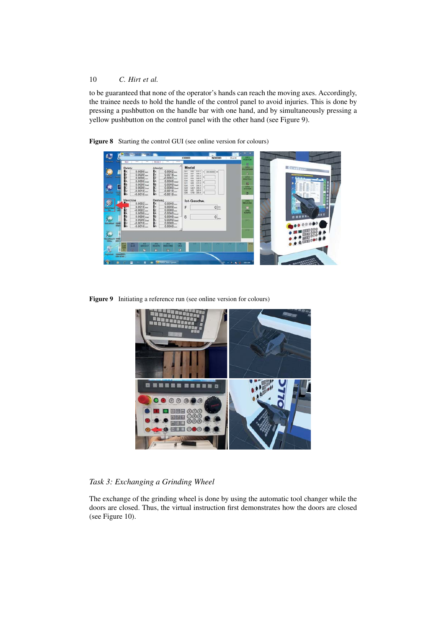to be guaranteed that none of the operator's hands can reach the moving axes. Accordingly, the trainee needs to hold the handle of the control panel to avoid injuries. This is done by pressing a pushbutton on the handle bar with one hand, and by simultaneously pressing a yellow pushbutton on the control panel with the other hand (see Figure 9).

Model 18823331 1882223 3照 0照 0照 R  $let. C$  $0 \equiv$ E  $\overline{0}$ 

Figure 8 Starting the control GUI (see online version for colours)

Figure 9 Initiating a reference run (see online version for colours)



*Task 3: Exchanging a Grinding Wheel*

The exchange of the grinding wheel is done by using the automatic tool changer while the doors are closed. Thus, the virtual instruction first demonstrates how the doors are closed (see Figure 10).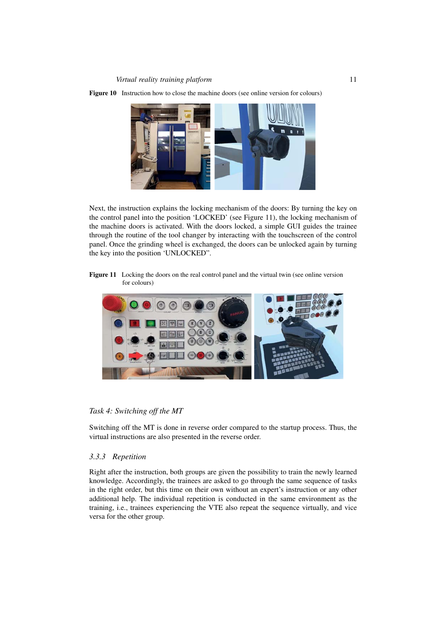

Figure 10 Instruction how to close the machine doors (see online version for colours)

Next, the instruction explains the locking mechanism of the doors: By turning the key on the control panel into the position 'LOCKED' (see Figure 11), the locking mechanism of the machine doors is activated. With the doors locked, a simple GUI guides the trainee through the routine of the tool changer by interacting with the touchscreen of the control panel. Once the grinding wheel is exchanged, the doors can be unlocked again by turning the key into the position 'UNLOCKED".

Figure 11 Locking the doors on the real control panel and the virtual twin (see online version for colours)



## *Task 4: Switching off the MT*

Switching off the MT is done in reverse order compared to the startup process. Thus, the virtual instructions are also presented in the reverse order.

# *3.3.3 Repetition*

Right after the instruction, both groups are given the possibility to train the newly learned knowledge. Accordingly, the trainees are asked to go through the same sequence of tasks in the right order, but this time on their own without an expert's instruction or any other additional help. The individual repetition is conducted in the same environment as the training, i.e., trainees experiencing the VTE also repeat the sequence virtually, and vice versa for the other group.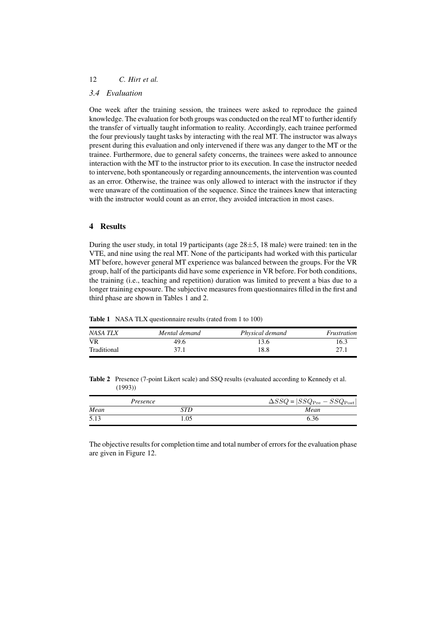# *3.4 Evaluation*

One week after the training session, the trainees were asked to reproduce the gained knowledge. The evaluation for both groups was conducted on the real MT to further identify the transfer of virtually taught information to reality. Accordingly, each trainee performed the four previously taught tasks by interacting with the real MT. The instructor was always present during this evaluation and only intervened if there was any danger to the MT or the trainee. Furthermore, due to general safety concerns, the trainees were asked to announce interaction with the MT to the instructor prior to its execution. In case the instructor needed to intervene, both spontaneously or regarding announcements, the intervention was counted as an error. Otherwise, the trainee was only allowed to interact with the instructor if they were unaware of the continuation of the sequence. Since the trainees knew that interacting with the instructor would count as an error, they avoided interaction in most cases.

## 4 Results

During the user study, in total 19 participants (age  $28\pm 5$ , 18 male) were trained: ten in the VTE, and nine using the real MT. None of the participants had worked with this particular MT before, however general MT experience was balanced between the groups. For the VR group, half of the participants did have some experience in VR before. For both conditions, the training (i.e., teaching and repetition) duration was limited to prevent a bias due to a longer training exposure. The subjective measures from questionnaires filled in the first and third phase are shown in Tables 1 and 2.

Table 1 NASA TLX questionnaire results (rated from 1 to 100)

| NASA TLX    | Mental demand | Physical demand | Frustration |
|-------------|---------------|-----------------|-------------|
| <b>VR</b>   | 49.6          |                 | 16.3        |
| Traditional | 371           | 18.8            | 27.         |

Table 2 Presence (7-point Likert scale) and SSQ results (evaluated according to Kennedy et al. (1993))

| Presence |     | $\Delta SSQ =  SSQ_{\text{Pre}} - SSQ_{\text{Post}} $ |  |
|----------|-----|-------------------------------------------------------|--|
| Mean     | STD | Mean                                                  |  |
| 5.13     | .05 | 6.36                                                  |  |

The objective results for completion time and total number of errors for the evaluation phase are given in Figure 12.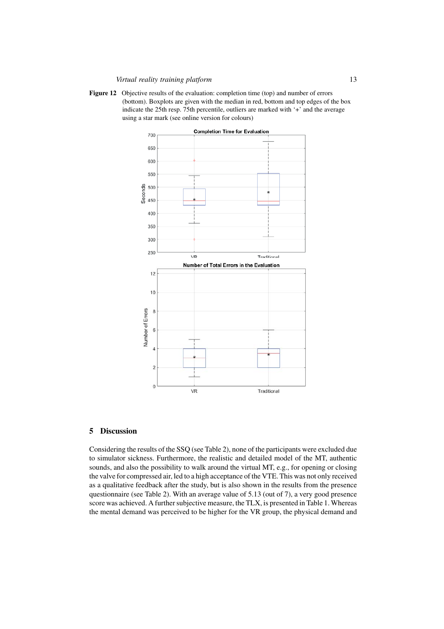Figure 12 Objective results of the evaluation: completion time (top) and number of errors (bottom). Boxplots are given with the median in red, bottom and top edges of the box indicate the 25th resp. 75th percentile, outliers are marked with '+' and the average using a star mark (see online version for colours)



# 5 Discussion

Considering the results of the SSQ (see Table 2), none of the participants were excluded due to simulator sickness. Furthermore, the realistic and detailed model of the MT, authentic sounds, and also the possibility to walk around the virtual MT, e.g., for opening or closing the valve for compressed air, led to a high acceptance of the VTE. This was not only received as a qualitative feedback after the study, but is also shown in the results from the presence questionnaire (see Table 2). With an average value of 5.13 (out of 7), a very good presence score was achieved. A further subjective measure, the TLX, is presented in Table 1. Whereas the mental demand was perceived to be higher for the VR group, the physical demand and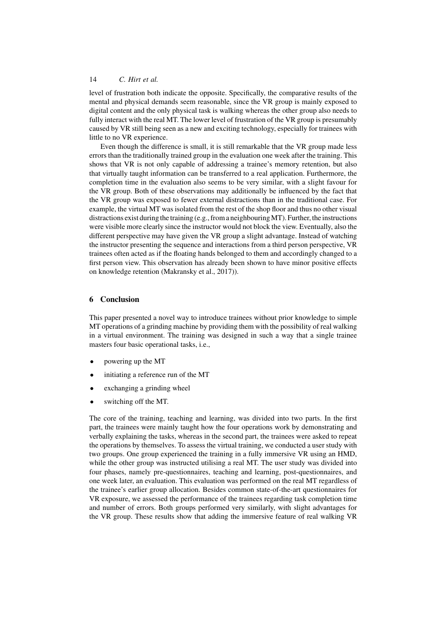level of frustration both indicate the opposite. Specifically, the comparative results of the mental and physical demands seem reasonable, since the VR group is mainly exposed to digital content and the only physical task is walking whereas the other group also needs to fully interact with the real MT. The lower level of frustration of the VR group is presumably caused by VR still being seen as a new and exciting technology, especially for trainees with little to no VR experience.

Even though the difference is small, it is still remarkable that the VR group made less errors than the traditionally trained group in the evaluation one week after the training. This shows that VR is not only capable of addressing a trainee's memory retention, but also that virtually taught information can be transferred to a real application. Furthermore, the completion time in the evaluation also seems to be very similar, with a slight favour for the VR group. Both of these observations may additionally be influenced by the fact that the VR group was exposed to fewer external distractions than in the traditional case. For example, the virtual MT was isolated from the rest of the shop floor and thus no other visual distractions exist during the training (e.g., from a neighbouringMT). Further, the instructions were visible more clearly since the instructor would not block the view. Eventually, also the different perspective may have given the VR group a slight advantage. Instead of watching the instructor presenting the sequence and interactions from a third person perspective, VR trainees often acted as if the floating hands belonged to them and accordingly changed to a first person view. This observation has already been shown to have minor positive effects on knowledge retention (Makransky et al., 2017)).

#### 6 Conclusion

This paper presented a novel way to introduce trainees without prior knowledge to simple MT operations of a grinding machine by providing them with the possibility of real walking in a virtual environment. The training was designed in such a way that a single trainee masters four basic operational tasks, i.e.,

- powering up the MT
- initiating a reference run of the MT
- exchanging a grinding wheel
- switching off the MT.

The core of the training, teaching and learning, was divided into two parts. In the first part, the trainees were mainly taught how the four operations work by demonstrating and verbally explaining the tasks, whereas in the second part, the trainees were asked to repeat the operations by themselves. To assess the virtual training, we conducted a user study with two groups. One group experienced the training in a fully immersive VR using an HMD, while the other group was instructed utilising a real MT. The user study was divided into four phases, namely pre-questionnaires, teaching and learning, post-questionnaires, and one week later, an evaluation. This evaluation was performed on the real MT regardless of the trainee's earlier group allocation. Besides common state-of-the-art questionnaires for VR exposure, we assessed the performance of the trainees regarding task completion time and number of errors. Both groups performed very similarly, with slight advantages for the VR group. These results show that adding the immersive feature of real walking VR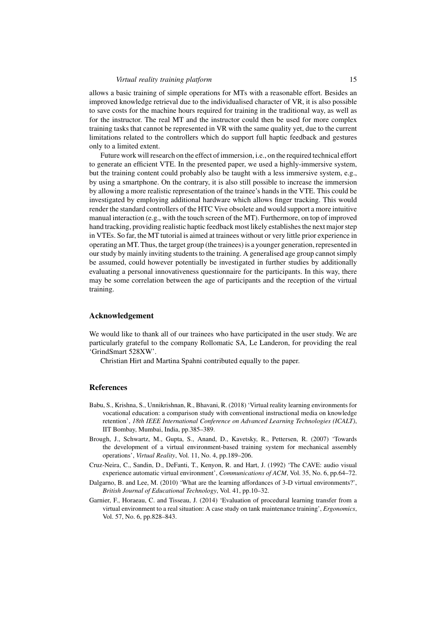allows a basic training of simple operations for MTs with a reasonable effort. Besides an improved knowledge retrieval due to the individualised character of VR, it is also possible to save costs for the machine hours required for training in the traditional way, as well as for the instructor. The real MT and the instructor could then be used for more complex training tasks that cannot be represented in VR with the same quality yet, due to the current limitations related to the controllers which do support full haptic feedback and gestures only to a limited extent.

Future work will research on the effect of immersion, i.e., on the required technical effort to generate an efficient VTE. In the presented paper, we used a highly-immersive system, but the training content could probably also be taught with a less immersive system, e.g., by using a smartphone. On the contrary, it is also still possible to increase the immersion by allowing a more realistic representation of the trainee's hands in the VTE. This could be investigated by employing additional hardware which allows finger tracking. This would render the standard controllers of the HTC Vive obsolete and would support a more intuitive manual interaction (e.g., with the touch screen of the MT). Furthermore, on top of improved hand tracking, providing realistic haptic feedback most likely establishes the next major step in VTEs. So far, the MT tutorial is aimed at trainees without or very little prior experience in operating an MT. Thus, the target group (the trainees) is a younger generation, represented in our study by mainly inviting students to the training. A generalised age group cannot simply be assumed, could however potentially be investigated in further studies by additionally evaluating a personal innovativeness questionnaire for the participants. In this way, there may be some correlation between the age of participants and the reception of the virtual training.

# Acknowledgement

We would like to thank all of our trainees who have participated in the user study. We are particularly grateful to the company Rollomatic SA, Le Landeron, for providing the real 'GrindSmart 528XW'.

Christian Hirt and Martina Spahni contributed equally to the paper.

### References

- Babu, S., Krishna, S., Unnikrishnan, R., Bhavani, R. (2018) 'Virtual reality learning environments for vocational education: a comparison study with conventional instructional media on knowledge retention', *18th IEEE International Conference on Advanced Learning Technologies (ICALT)*, IIT Bombay, Mumbai, India, pp.385–389.
- Brough, J., Schwartz, M., Gupta, S., Anand, D., Kavetsky, R., Pettersen, R. (2007) 'Towards the development of a virtual environment-based training system for mechanical assembly operations', *Virtual Reality*, Vol. 11, No. 4, pp.189–206.
- Cruz-Neira, C., Sandin, D., DeFanti, T., Kenyon, R. and Hart, J. (1992) 'The CAVE: audio visual experience automatic virtual environment', *Communications of ACM*, Vol. 35, No. 6, pp.64–72.
- Dalgarno, B. and Lee, M. (2010) 'What are the learning affordances of 3-D virtual environments?', *British Journal of Educational Technology*, Vol. 41, pp.10–32.
- Garnier, F., Horaeau, C. and Tisseau, J. (2014) 'Evaluation of procedural learning transfer from a virtual environment to a real situation: A case study on tank maintenance training', *Ergonomics*, Vol. 57, No. 6, pp.828–843.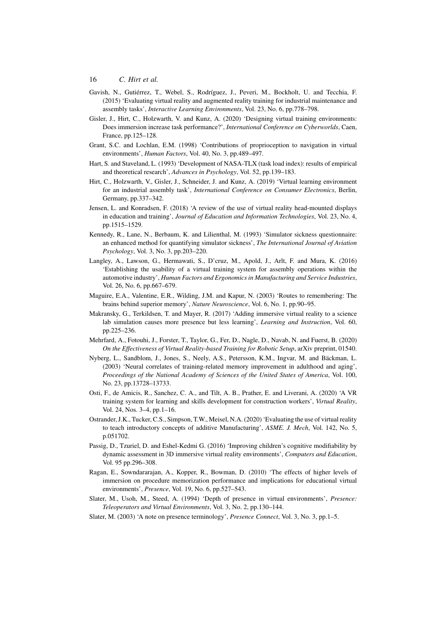- Gavish, N., Gutiérrez, T., Webel, S., Rodríguez, J., Peveri, M., Bockholt, U. and Tecchia, F. (2015) 'Evaluating virtual reality and augmented reality training for industrial maintenance and assembly tasks', *Interactive Learning Environments*, Vol. 23, No. 6, pp.778–798.
- Gisler, J., Hirt, C., Holzwarth, V. and Kunz, A. (2020) 'Designing virtual training environments: Does immersion increase task performance?', *International Conference on Cyberworlds*, Caen, France, pp.125–128.
- Grant, S.C. and Lochlan, E.M. (1998) 'Contributions of proprioception to navigation in virtual environments', *Human Factors*, Vol. 40, No. 3, pp.489–497.
- Hart, S. and Staveland, L. (1993) 'Development of NASA-TLX (task load index): results of empirical and theoretical research', *Advances in Psychology*, Vol. 52, pp.139–183.
- Hirt, C., Holzwarth, V., Gisler, J., Schneider, J. and Kunz, A. (2019) 'Virtual learning environment for an industrial assembly task', *International Conference on Consumer Electronics*, Berlin, Germany, pp.337–342.
- Jensen, L. and Konradsen, F. (2018) 'A review of the use of virtual reality head-mounted displays in education and training', *Journal of Education and Information Technologies*, Vol. 23, No. 4, pp.1515–1529.
- Kennedy, R., Lane, N., Berbaum, K. and Lilienthal, M. (1993) 'Simulator sickness questionnaire: an enhanced method for quantifying simulator sickness', *The International Journal of Aviation Psychology*, Vol. 3, No. 3, pp.203–220.
- Langley, A., Lawson, G., Hermawati, S., D'cruz, M., Apold, J., Arlt, F. and Mura, K. (2016) 'Establishing the usability of a virtual training system for assembly operations within the automotive industry', *Human Factors and Ergonomics in Manufacturing and Service Industries*, Vol. 26, No. 6, pp.667–679.
- Maguire, E.A., Valentine, E.R., Wilding, J.M. and Kapur, N. (2003) 'Routes to remembering: The brains behind superior memory', *Nature Neuroscience*, Vol. 6, No. 1, pp.90–95.
- Makransky, G., Terkildsen, T. and Mayer, R. (2017) 'Adding immersive virtual reality to a science lab simulation causes more presence but less learning', *Learning and Instruction*, Vol. 60, pp.225–236.
- Mehrfard, A., Fotouhi, J., Forster, T., Taylor, G., Fer, D., Nagle, D., Navab, N. and Fuerst, B. (2020) *On the Effectiveness of Virtual Reality-based Training for Robotic Setup*, arXiv preprint, 01540.
- Nyberg, L., Sandblom, J., Jones, S., Neely, A.S., Petersson, K.M., Ingvar, M. and Bäckman, L. (2003) 'Neural correlates of training-related memory improvement in adulthood and aging', *Proceedings of the National Academy of Sciences of the United States of America*, Vol. 100, No. 23, pp.13728–13733.
- Osti, F., de Amicis, R., Sanchez, C. A., and Tilt, A. B., Prather, E. and Liverani, A. (2020) 'A VR training system for learning and skills development for construction workers', *Virtual Reality*, Vol. 24, Nos. 3–4, pp.1–16.
- Ostrander, J.K., Tucker, C.S., Simpson, T.W., Meisel, N.A. (2020) 'Evaluating the use of virtual reality to teach introductory concepts of additive Manufacturing', *ASME. J. Mech*, Vol. 142, No. 5, p.051702.
- Passig, D., Tzuriel, D. and Eshel-Kedmi G. (2016) 'Improving children's cognitive modifiability by dynamic assessment in 3D immersive virtual reality environments', *Computers and Education*, Vol. 95 pp.296–308.
- Ragan, E., Sowndararajan, A., Kopper, R., Bowman, D. (2010) 'The effects of higher levels of immersion on procedure memorization performance and implications for educational virtual environments', *Presence*, Vol. 19, No. 6, pp.527–543.
- Slater, M., Usoh, M., Steed, A. (1994) 'Depth of presence in virtual environments', *Presence: Teleoperators and Virtual Environments*, Vol. 3, No. 2, pp.130–144.
- Slater, M. (2003) 'A note on presence terminology', *Presence Connect*, Vol. 3, No. 3, pp.1–5.